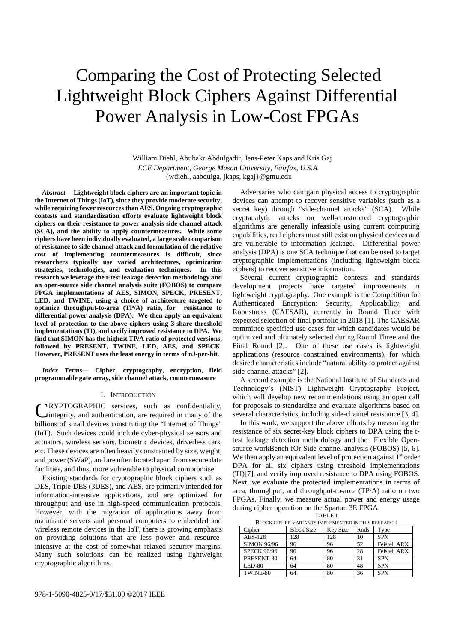# Comparing the Cost of Protecting Selected Lightweight Block Ciphers Against Differential Power Analysis in Low-Cost FPGAs

William Diehl, Abubakr Abdulgadir, Jens-Peter Kaps and Kris Gaj *ECE Department, George Mason University, Fairfax, U.S.A.*  {wdiehl, aabdulga, jkaps, kgaj}@gmu.edu

*Abstract***— Lightweight block ciphers are an important topic in the Internet of Things (IoT), since they provide moderate security, while requiring fewer resources than AES. Ongoing cryptographic contests and standardization efforts evaluate lightweight block ciphers on their resistance to power analysis side channel attack (SCA), and the ability to apply countermeasures. While some ciphers have been individually evaluated, a large scale comparison of resistance to side channel attack and formulation of the relative cost of implementing countermeasures is difficult, since researchers typically use varied architectures, optimization strategies, technologies, and evaluation techniques. In this research we leverage the t-test leakage detection methodology and an open-source side channel analysis suite (FOBOS) to compare FPGA implementations of AES, SIMON, SPECK, PRESENT, LED, and TWINE, using a choice of architecture targeted to optimize throughput-to-area (TP/A) ratio, for resistance to differential power analysis (DPA). We then apply an equivalent level of protection to the above ciphers using 3-share threshold implementations (TI), and verify improved resistance to DPA. We find that SIMON has the highest TP/A ratio of protected versions, followed by PRESENT, TWINE, LED, AES, and SPECK. However, PRESENT uses the least energy in terms of nJ-per-bit.** 

*Index Terms***— Cipher, cryptography, encryption, field programmable gate array, side channel attack, countermeasure** 

# I. INTRODUCTION

RYPTOGRAPHIC services, such as confidentiality, integrity, and authentication, are required in many of the billions of small devices constituting the "Internet of Things" (IoT). Such devices could include cyber-physical sensors and actuators, wireless sensors, biometric devices, driverless cars, etc. These devices are often heavily constrained by size, weight, and power (SWaP), and are often located apart from secure data facilities, and thus, more vulnerable to physical compromise. C

Existing standards for cryptographic block ciphers such as DES, Triple-DES (3DES), and AES, are primarily intended for information-intensive applications, and are optimized for throughput and use in high-speed communication protocols. However, with the migration of applications away from mainframe servers and personal computers to embedded and wireless remote devices in the IoT, there is growing emphasis on providing solutions that are less power and resourceintensive at the cost of somewhat relaxed security margins. Many such solutions can be realized using lightweight cryptographic algorithms.

Adversaries who can gain physical access to cryptographic devices can attempt to recover sensitive variables (such as a secret key) through "side-channel attacks" (SCA). While cryptanalytic attacks on well-constructed cryptographic algorithms are generally infeasible using current computing capabilities, real ciphers must still exist on physical devices and are vulnerable to information leakage. Differential power analysis (DPA) is one SCA technique that can be used to target cryptographic implementations (including lightweight block ciphers) to recover sensitive information.

Several current cryptographic contests and standards development projects have targeted improvements in lightweight cryptography. One example is the Competition for Authenticated Encryption: Security, Applicability, and Robustness (CAESAR), currently in Round Three with expected selection of final portfolio in 2018 [1]. The CAESAR committee specified use cases for which candidates would be optimized and ultimately selected during Round Three and the Final Round [2]. One of these use cases is lightweight applications (resource constrained environments), for which desired characteristics include "natural ability to protect against side-channel attacks" [2].

A second example is the National Institute of Standards and Technology's (NIST) Lightweight Cryptography Project, which will develop new recommendations using an open call for proposals to standardize and evaluate algorithms based on several characteristics, including side-channel resistance [3, 4].

In this work, we support the above efforts by measuring the resistance of six secret-key block ciphers to DPA using the ttest leakage detection methodology and the Flexible Opensource workBench fOr Side-channel analysis (FOBOS) [5, 6]. We then apply an equivalent level of protection against  $1<sup>st</sup>$  order DPA for all six ciphers using threshold implementations (TI)[7], and verify improved resistance to DPA using FOBOS. Next, we evaluate the protected implementations in terms of area, throughput, and throughput-to-area (TP/A) ratio on two FPGAs. Finally, we measure actual power and energy usage during cipher operation on the Spartan 3E FPGA.

| BLOCK CIPHER VARIANTS IMPLEMENTED IN THIS RESEARCH |                   |                 |      |              |  |  |  |  |
|----------------------------------------------------|-------------------|-----------------|------|--------------|--|--|--|--|
| Cipher                                             | <b>Block Size</b> | <b>Key Size</b> | Rnds | Type         |  |  |  |  |
| <b>AES-128</b>                                     | 128               | 128             | 10   | <b>SPN</b>   |  |  |  |  |
| <b>SIMON 96/96</b>                                 | 96                | 96              | 52   | Feistel, ARX |  |  |  |  |
| <b>SPECK 96/96</b>                                 | 96                | 96              | 28   | Feistel, ARX |  |  |  |  |
| PRESENT-80                                         | 64                | 80              | 31   | <b>SPN</b>   |  |  |  |  |
| $LED-80$                                           | 64                | 80              | 48   | <b>SPN</b>   |  |  |  |  |
| TWINE-80                                           | 64                | 80              | 36   | <b>SPN</b>   |  |  |  |  |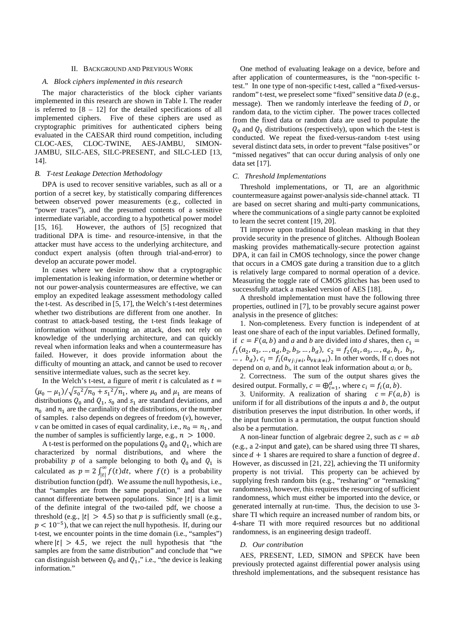# II. BACKGROUND AND PREVIOUS WORK

# *A. Block ciphers implemented in this research*

 The major characteristics of the block cipher variants implemented in this research are shown in Table I. The reader is referred to  $[8 - 12]$  for the detailed specifications of all implemented ciphers. Five of these ciphers are used as cryptographic primitives for authenticated ciphers being evaluated in the CAESAR third round competition, including CLOC-AES, CLOC-TWINE, AES-JAMBU, SIMON-JAMBU, SILC-AES, SILC-PRESENT, and SILC-LED [13, 14].

# *B. T-test Leakage Detection Methodology*

DPA is used to recover sensitive variables, such as all or a portion of a secret key, by statistically comparing differences between observed power measurements (e.g., collected in "power traces"), and the presumed contents of a sensitive intermediate variable, according to a hypothetical power model [15, 16]. However, the authors of [5] recognized that traditional DPA is time- and resource-intensive, in that the attacker must have access to the underlying architecture, and conduct expert analysis (often through trial-and-error) to develop an accurate power model.

In cases where we desire to show that a cryptographic implementation is leaking information, or determine whether or not our power-analysis countermeasures are effective, we can employ an expedited leakage assessment methodology called the t-test. As described in [5, 17], the Welch's t-test determines whether two distributions are different from one another. In contrast to attack-based testing, the t-test finds leakage of information without mounting an attack, does not rely on knowledge of the underlying architecture, and can quickly reveal when information leaks and when a countermeasure has failed. However, it does provide information about the difficulty of mounting an attack, and cannot be used to recover sensitive intermediate values, such as the secret key.

In the Welch's t-test, a figure of merit *t* is calculated as  $t =$  $(\mu_0 - \mu_1)/\sqrt{s_0^2/n_0 + s_1^2/n_1}$ , where  $\mu_0$  and  $\mu_1$  are means of distributions  $Q_0$  and  $Q_1$ ,  $s_0$  and  $s_1$  are standard deviations, and  $n_0$  and  $n_1$  are the cardinality of the distributions, or the number of samples. *t* also depends on degrees of freedom (*v*), however, *v* can be omitted in cases of equal cardinality, i.e.,  $n_0 = n_1$ , and the number of samples is sufficiently large, e.g.,  $n > 1000$ .

A t-test is performed on the populations  $Q_0$  and  $Q_1$ , which are characterized by normal distributions, and where the probability p of a sample belonging to both  $Q_0$  and  $Q_1$  is calculated as  $p = 2 \int_{|t|}^{\infty} f(t) dt$ , where  $f(t)$  is a probability distribution function (pdf). We assume the null hypothesis, i.e., that "samples are from the same population," and that we cannot differentiate between populations. Since |t| is a limit of the definite integral of the two-tailed pdf, we choose a threshold (e.g.,  $|t| > 4.5$ ) so that  $p$  is sufficiently small (e.g.,  $p < 10^{-5}$ ), that we can reject the null hypothesis. If, during our t-test, we encounter points in the time domain (i.e., "samples") where  $|t| > 4.5$ , we reject the null hypothesis that "the samples are from the same distribution" and conclude that "we can distinguish between  $Q_0$  and  $Q_1$ ," i.e., "the device is leaking information."

One method of evaluating leakage on a device, before and after application of countermeasures, is the "non-specific ttest." In one type of non-specific t-test, called a "fixed-versusrandom" t-test, we preselect some "fixed" sensitive data  $D$  (e.g., message). Then we randomly interleave the feeding of  $D$ , or random data, to the victim cipher. The power traces collected from the fixed data or random data are used to populate the  $Q_0$  and  $Q_1$  distributions (respectively), upon which the t-test is conducted. We repeat the fixed-versus-random t-test using several distinct data sets, in order to prevent "false positives" or "missed negatives" that can occur during analysis of only one data set [17].

## *C. Threshold Implementations*

Threshold implementations, or TI, are an algorithmic countermeasure against power-analysis side-channel attack. TI are based on secret sharing and multi-party communications, where the communications of a single party cannot be exploited to learn the secret content [19, 20].

TI improve upon traditional Boolean masking in that they provide security in the presence of glitches. Although Boolean masking provides mathematically-secure protection against DPA, it can fail in CMOS technology, since the power change that occurs in a CMOS gate during a transition due to a glitch is relatively large compared to normal operation of a device. Measuring the toggle rate of CMOS glitches has been used to successfully attack a masked version of AES [18].

A threshold implementation must have the following three properties, outlined in [7], to be provably secure against power analysis in the presence of glitches:

1. Non-completeness. Every function is independent of at least one share of each of the input variables. Defined formally, if  $c = F(a, b)$  and *a* and *b* are divided into *d* shares, then  $c_1 =$  $f_1(a_2, a_3, \ldots, a_d, b_2, b_3, \ldots, b_d), \ c_2 = f_2(a_1, a_3, \ldots, a_d, b_1, b_3,$ ...,  $b_d$ ,  $c_i = f_i(a_{\forall j:j\neq i}, b_{\forall k:k\neq i})$ . In other words, If  $c_i$  does not depend on  $a_i$  and  $b_i$ , it cannot leak information about  $a_i$  or  $b_i$ .

2. Correctness. The sum of the output shares gives the desired output. Formally,  $c = \bigoplus_{i=1}^{d}$ , where  $c_i = f_i(a, b)$ .

3. Uniformity. A realization of sharing  $c = F(a, b)$  is uniform if for all distributions of the inputs  $\alpha$  and  $\beta$ , the output distribution preserves the input distribution. In other words, if the input function is a permutation, the output function should also be a permutation.

A non-linear function of algebraic degree 2, such as  $c = ab$ (e.g., a 2-input and gate), can be shared using three TI shares, since  $d + 1$  shares are required to share a function of degree d. However, as discussed in [21, 22], achieving the TI uniformity property is not trivial. This property can be achieved by supplying fresh random bits (e.g., "resharing" or "remasking" randomness), however, this requires the resourcing of sufficient randomness, which must either be imported into the device, or generated internally at run-time. Thus, the decision to use 3 share TI which require an increased number of random bits, or 4-share TI with more required resources but no additional randomness, is an engineering design tradeoff.

### *D. Our contribution*

AES, PRESENT, LED, SIMON and SPECK have been previously protected against differential power analysis using threshold implementations, and the subsequent resistance has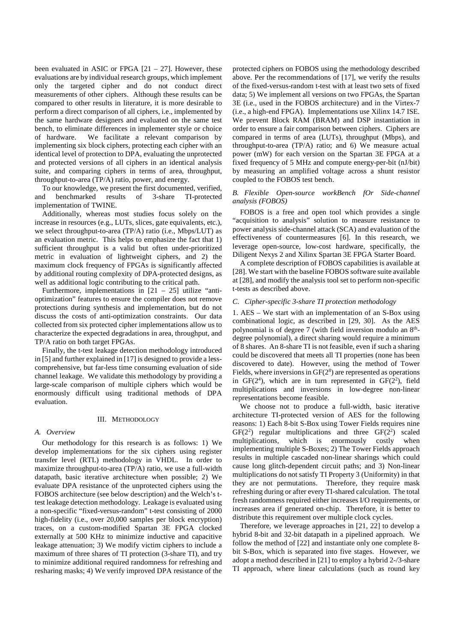been evaluated in ASIC or FPGA  $[21 - 27]$ . However, these evaluations are by individual research groups, which implement only the targeted cipher and do not conduct direct measurements of other ciphers. Although these results can be compared to other results in literature, it is more desirable to perform a direct comparison of all ciphers, i.e., implemented by the same hardware designers and evaluated on the same test bench, to eliminate differences in implementer style or choice of hardware. We facilitate a relevant comparison by implementing six block ciphers, protecting each cipher with an identical level of protection to DPA, evaluating the unprotected and protected versions of all ciphers in an identical analysis suite, and comparing ciphers in terms of area, throughput, throughput-to-area (TP/A) ratio, power, and energy.

To our knowledge, we present the first documented, verified, and benchmarked results of 3-share TI-protected implementation of TWINE.

Additionally, whereas most studies focus solely on the increase in resources (e.g., LUTs, slices, gate equivalents, etc.), we select throughput-to-area (TP/A) ratio (i.e., Mbps/LUT) as an evaluation metric. This helps to emphasize the fact that 1) sufficient throughput is a valid but often under-prioritized metric in evaluation of lightweight ciphers, and 2) the maximum clock frequency of FPGAs is significantly affected by additional routing complexity of DPA-protected designs, as well as additional logic contributing to the critical path.

Furthermore, implementations in  $[21 - 25]$  utilize "antioptimization" features to ensure the compiler does not remove protections during synthesis and implementation, but do not discuss the costs of anti-optimization constraints. Our data collected from six protected cipher implementations allow us to characterize the expected degradations in area, throughput, and TP/A ratio on both target FPGAs.

Finally, the t-test leakage detection methodology introduced in [5] and further explained in [17] is designed to provide a lesscomprehensive, but far-less time consuming evaluation of side channel leakage. We validate this methodology by providing a large-scale comparison of multiple ciphers which would be enormously difficult using traditional methods of DPA evaluation.

# III. METHODOLOGY

# *A. Overview*

Our methodology for this research is as follows: 1) We develop implementations for the six ciphers using register transfer level (RTL) methodology in VHDL. In order to maximize throughput-to-area (TP/A) ratio, we use a full-width datapath, basic iterative architecture when possible; 2) We evaluate DPA resistance of the unprotected ciphers using the FOBOS architecture (see below description) and the Welch's ttest leakage detection methodology. Leakage is evaluated using a non-specific "fixed-versus-random" t-test consisting of 2000 high-fidelity (i.e., over 20,000 samples per block encryption) traces, on a custom-modified Spartan 3E FPGA clocked externally at 500 KHz to minimize inductive and capacitive leakage attenuation; 3) We modify victim ciphers to include a maximum of three shares of TI protection (3-share TI), and try to minimize additional required randomness for refreshing and resharing masks; 4) We verify improved DPA resistance of the

protected ciphers on FOBOS using the methodology described above. Per the recommendations of [17], we verify the results of the fixed-versus-random t-test with at least two sets of fixed data; 5) We implement all versions on two FPGAs, the Spartan 3E (i.e., used in the FOBOS architecture) and in the Virtex-7 (i.e., a high-end FPGA). Implementations use Xilinx 14.7 ISE. We prevent Block RAM (BRAM) and DSP instantiation in order to ensure a fair comparison between ciphers. Ciphers are compared in terms of area (LUTs), throughput (Mbps), and throughput-to-area (TP/A) ratio; and 6) We measure actual power (mW) for each version on the Spartan 3E FPGA at a fixed frequency of 5 MHz and compute energy-per-bit (nJ/bit) by measuring an amplified voltage across a shunt resistor coupled to the FOBOS test bench.

# *B. Flexible Open-source workBench fOr Side-channel analysis (FOBOS)*

FOBOS is a free and open tool which provides a single "acquisition to analysis" solution to measure resistance to power analysis side-channel attack (SCA) and evaluation of the effectiveness of countermeasures [6]. In this research, we leverage open-source, low-cost hardware, specifically, the Diligent Nexys 2 and Xilinx Spartan 3E FPGA Starter Board.

A complete description of FOBOS capabilities is available at [28]. We start with the baseline FOBOS software suite available at [28], and modify the analysis tool set to perform non-specific t-tests as described above.

# *C. Cipher-specific 3-share TI protection methodology*

1. AES – We start with an implementation of an S-Box using combinational logic, as described in [29, 30]. As the AES polynomial is of degree 7 (with field inversion modulo an 8<sup>th</sup>degree polynomial), a direct sharing would require a minimum of 8 shares. An 8-share TI is not feasible, even if such a sharing could be discovered that meets all TI properties (none has been discovered to date). However, using the method of Tower Fields, where inversions in  $GF(2<sup>8</sup>)$  are represented as operations in  $GF(2<sup>4</sup>)$ , which are in turn represented in  $GF(2<sup>2</sup>)$ , field multiplications and inversions in low-degree non-linear representations become feasible.

We choose not to produce a full-width, basic iterative architecture TI-protected version of AES for the following reasons: 1) Each 8-bit S-Box using Tower Fields requires nine  $GF(2^2)$  regular multiplications and three  $GF(2^2)$  scaled multiplications, which is enormously costly when implementing multiple S-Boxes; 2) The Tower Fields approach results in multiple cascaded non-linear sharings which could cause long glitch-dependent circuit paths; and 3) Non-linear multiplications do not satisfy TI Property 3 (Uniformity) in that they are not permutations. Therefore, they require mask refreshing during or after every TI-shared calculation. The total fresh randomness required either increases I/O requirements, or increases area if generated on-chip. Therefore, it is better to distribute this requirement over multiple clock cycles.

Therefore, we leverage approaches in [21, 22] to develop a hybrid 8-bit and 32-bit datapath in a pipelined approach. We follow the method of [22] and instantiate only one complete 8 bit S-Box, which is separated into five stages. However, we adopt a method described in [21] to employ a hybrid 2-/3-share TI approach, where linear calculations (such as round key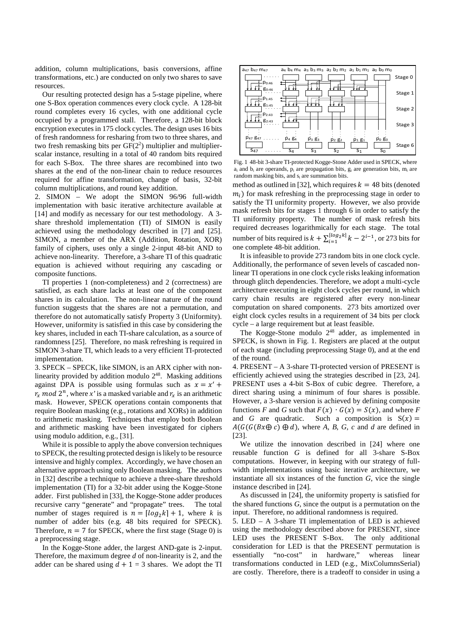addition, column multiplications, basis conversions, affine transformations, etc.) are conducted on only two shares to save resources.

Our resulting protected design has a 5-stage pipeline, where one S-Box operation commences every clock cycle. A 128-bit round completes every 16 cycles, with one additional cycle occupied by a programmed stall. Therefore, a 128-bit block encryption executes in 175 clock cycles. The design uses 16 bits of fresh randomness for resharing from two to three shares, and two fresh remasking bits per  $GF(2<sup>2</sup>)$  multiplier and multiplierscalar instance, resulting in a total of 40 random bits required for each S-Box. The three shares are recombined into two shares at the end of the non-linear chain to reduce resources required for affine transformation, change of basis, 32-bit column multiplications, and round key addition.

2. SIMON – We adopt the SIMON 96/96 full-width implementation with basic iterative architecture available at [14] and modify as necessary for our test methodology. A 3share threshold implementation (TI) of SIMON is easily achieved using the methodology described in [7] and [25]. SIMON, a member of the ARX (Addition, Rotation, XOR) family of ciphers, uses only a single 2-input 48-bit AND to achieve non-linearity. Therefore, a 3-share TI of this quadratic equation is achieved without requiring any cascading or composite functions.

TI properties 1 (non-completeness) and 2 (correctness) are satisfied, as each share lacks at least one of the component shares in its calculation. The non-linear nature of the round function suggests that the shares are not a permutation, and therefore do not automatically satisfy Property 3 (Uniformity). However, uniformity is satisfied in this case by considering the key shares, included in each TI-share calculation, as a source of randomness [25]. Therefore, no mask refreshing is required in SIMON 3-share TI, which leads to a very efficient TI-protected implementation.

3. SPECK – SPECK, like SIMON, is an ARX cipher with nonlinearity provided by addition modulo  $2^{48}$ . Masking additions against DPA is possible using formulas such as  $x = x' +$  $r_x \mod 2^n$ , where x' is a masked variable and  $r_x$  is an arithmetic mask. However, SPECK operations contain components that require Boolean masking (e.g., rotations and XORs) in addition to arithmetic masking. Techniques that employ both Boolean and arithmetic masking have been investigated for ciphers using modulo addition, e.g., [31].

While it is possible to apply the above conversion techniques to SPECK, the resulting protected design is likely to be resource intensive and highly complex. Accordingly, we have chosen an alternative approach using only Boolean masking. The authors in [32] describe a technique to achieve a three-share threshold implementation (TI) for a 32-bit adder using the Kogge-Stone adder. First published in [33], the Kogge-Stone adder produces recursive carry "generate" and "propagate" trees. The total number of stages required is  $n = [log_2 k] + 1$ , where *k* is number of adder bits (e.g. 48 bits required for SPECK). Therefore,  $n = 7$  for SPECK, where the first stage (Stage 0) is a preprocessing stage.

In the Kogge-Stone adder, the largest AND-gate is 2-input. Therefore, the maximum degree *d* of non-linearity is 2, and the adder can be shared using  $d + 1 = 3$  shares. We adopt the TI



Fig. 1 48-bit 3-share TI-protected Kogge-Stone Adder used in SPECK, where a<sub>i</sub> and b<sub>i</sub> are operands, p<sub>i</sub> are propagation bits, g<sub>i</sub> are generation bits, m<sub>i</sub> are random masking bits, and  $s_i$  are summation bits.

method as outlined in [32], which requires  $k = 48$  bits (denoted  $m_i$ ) for mask refreshing in the preprocessing stage in order to satisfy the TI uniformity property. However, we also provide mask refresh bits for stages 1 through 6 in order to satisfy the TI uniformity property. The number of mask refresh bits required decreases logarithmically for each stage. The total number of bits required is  $k + \sum_{i=1}^{\lfloor log_2 k \rfloor} k - 2^{i-1}$ , or 273 bits for one complete 48-bit addition.

It is infeasible to provide 273 random bits in one clock cycle. Additionally, the performance of seven levels of cascaded nonlinear TI operations in one clock cycle risks leaking information through glitch dependencies. Therefore, we adopt a multi-cycle architecture executing in eight clock cycles per round, in which carry chain results are registered after every non-linear computation on shared components. 273 bits amortized over eight clock cycles results in a requirement of 34 bits per clock cycle – a large requirement but at least feasible.

The Kogge-Stone modulo  $2^{48}$  adder, as implemented in SPECK, is shown in Fig. 1. Registers are placed at the output of each stage (including preprocessing Stage 0), and at the end of the round.

4. PRESENT – A 3-share TI-protected version of PRESENT is efficiently achieved using the strategies described in [23, 24]. PRESENT uses a 4-bit S-Box of cubic degree. Therefore, a direct sharing using a minimum of four shares is possible. However, a 3-share version is achieved by defining composite functions *F* and *G* such that  $F(x) \cdot G(x) = S(x)$ , and where *F* and *G* are quadratic. Such a composition is  $S(x) =$  $A(G(G(Bx \oplus c) \oplus d))$ , where *A*, *B*, *G*, *c* and *d* are defined in [23].

We utilize the innovation described in [24] where one reusable function *G* is defined for all 3-share S-Box computations. However, in keeping with our strategy of fullwidth implementations using basic iterative architecture, we instantiate all six instances of the function *G*, vice the single instance described in [24].

As discussed in [24], the uniformity property is satisfied for the shared functions *G*, since the output is a permutation on the input. Therefore, no additional randomness is required.

5. LED – A 3-share TI implementation of LED is achieved using the methodology described above for PRESENT, since LED uses the PRESENT S-Box. The only additional consideration for LED is that the PRESENT permutation is essentially "no-cost" in hardware," whereas linear transformations conducted in LED (e.g., MixColumnsSerial) are costly. Therefore, there is a tradeoff to consider in using a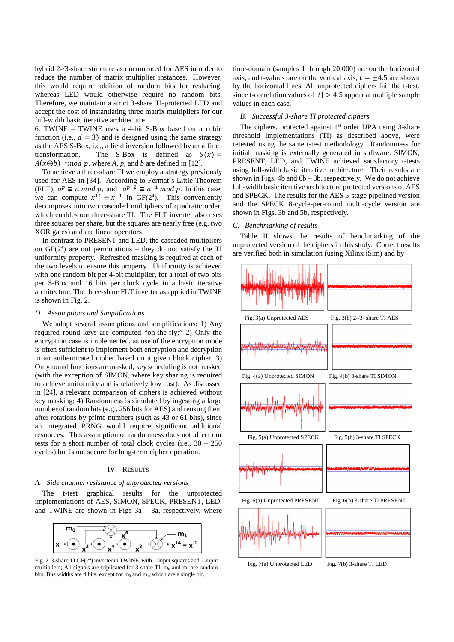hybrid 2-/3-share structure as documented for AES in order to reduce the number of matrix multiplier instances. However, this would require addition of random bits for resharing, whereas LED would otherwise require no random bits. Therefore, we maintain a strict 3-share TI-protected LED and accept the cost of instantiating three matrix multipliers for our full-width basic iterative architecture.

6. TWINE – TWINE uses a 4-bit S-Box based on a cubic function (i.e.,  $d = 3$ ) and is designed using the same strategy as the AES S-Box, i.e., a field inversion followed by an affine transformation. The S-Box is defined as  $S(x) =$  $A(x \oplus b)^{-1}$  *mod p*, where *A*, *p*, and *b* are defined in [12].

To achieve a three-share TI we employ a strategy previously used for AES in [34]. According to Fermat's Little Theorem (FLT),  $a^p \equiv a \mod p$ , and  $a^{p-2} \equiv a^{-1} \mod p$ . In this case, we can compute  $x^{14} \equiv x^{-1}$  in GF(2<sup>4</sup>). This conveniently decomposes into two cascaded multipliers of quadratic order, which enables our three-share TI. The FLT inverter also uses three squares per share, but the squares are nearly free (e.g. two XOR gates) and are linear operators.

In contrast to PRESENT and LED, the cascaded multipliers on  $GF(2<sup>4</sup>)$  are not permutations – they do not satisfy the TI uniformity property. Refreshed masking is required at each of the two levels to ensure this property. Uniformity is achieved with one random bit per 4-bit multiplier, for a total of two bits per S-Box and 16 bits per clock cycle in a basic iterative architecture. The three-share FLT inverter as applied in TWINE is shown in Fig. 2.

# *D. Assumptions and Simplifications*

We adopt several assumptions and simplifications: 1) Any required round keys are computed "on-the-fly;" 2) Only the encryption case is implemented, as use of the encryption mode is often sufficient to implement both encryption and decryption in an authenticated cipher based on a given block cipher; 3) Only round functions are masked; key scheduling is not masked (with the exception of SIMON, where key sharing is required to achieve uniformity and is relatively low cost). As discussed in [24], a relevant comparison of ciphers is achieved without key masking; 4) Randomness is simulated by ingesting a large number of random bits (e.g., 256 bits for AES) and reusing them after rotations by prime numbers (such as 43 or 61 bits), since an integrated PRNG would require significant additional resources. This assumption of randomness does not affect our tests for a short number of total clock cycles (i.e., 30 – 250 cycles) but is not secure for long-term cipher operation.

# IV. RESULTS

#### *A. Side channel resistance of unprotected versions*

The t-test graphical results for the unprotected implementations of AES, SIMON, SPECK, PRESENT, LED, and TWINE are shown in Figs 3a – 8a, respectively, where



Fig. 2 3-share TI GF(2<sup>4</sup>) inverter in TWINE, with 1-input squares and 2-input multipliers: All signals are triplicated for 3-share TI;  $m_0$  and  $m_1$  are random bits. Bus widths are 4 bits, except for  $m_0$  and  $m_1$ , which are a single bit.

time-domain (samples 1 through 20,000) are on the horizontal axis, and t-values are on the vertical axis;  $t = \pm 4.5$  are shown by the horizontal lines. All unprotected ciphers fail the t-test, since t-correlation values of  $|t| > 4.5$  appear at multiple sample values in each case.

### *B. Successful 3-share TI protected ciphers*

The ciphers, protected against  $1<sup>st</sup>$  order DPA using 3-share threshold implementations (TI) as described above, were retested using the same t-test methodology. Randomness for initial masking is externally generated in software. SIMON, PRESENT, LED, and TWINE achieved satisfactory t-tests using full-width basic iterative architecture. Their results are shown in Figs.  $4b$  and  $6b - 8b$ , respectively. We do not achieve full-width basic iterative architecture protected versions of AES and SPECK. The results for the AES 5-stage pipelined version and the SPECK 8-cycle-per-round multi-cycle version are shown in Figs. 3b and 5b, respectively.

# *C. Benchmarking of results*

Table II shows the results of benchmarking of the unprotected version of the ciphers in this study. Correct results are verified both in simulation (using Xilinx iSim) and by



Fig. 7(a) Unprotected LED Fig. 7(b) 3-share TI LED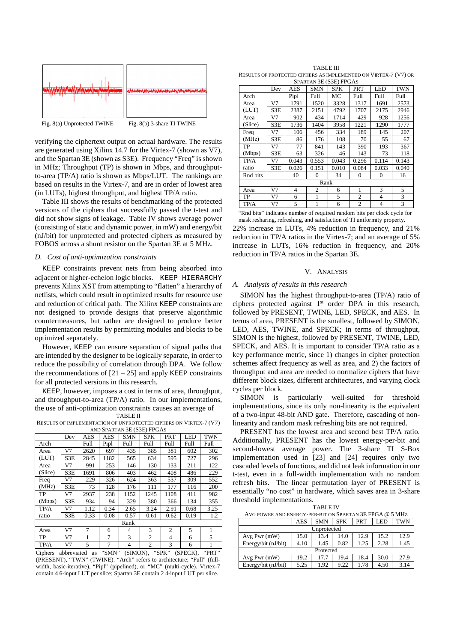

Fig. 8(a) Unprotected TWINE Fig. 8(b) 3-share TI TWINE

verifying the ciphertext output on actual hardware. The results are generated using Xilinx 14.7 for the Virtex-7 (shown as V7), and the Spartan 3E (shown as S3E). Frequency "Freq" is shown in MHz; Throughput (TP) is shown in Mbps, and throughputto-area (TP/A) ratio is shown as Mbps/LUT. The rankings are based on results in the Virtex-7, and are in order of lowest area (in LUTs), highest throughput, and highest TP/A ratio.

Table III shows the results of benchmarking of the protected versions of the ciphers that successfully passed the t-test and did not show signs of leakage. Table IV shows average power (consisting of static and dynamic power, in mW) and energy/bit (nJ/bit) for unprotected and protected ciphers as measured by FOBOS across a shunt resistor on the Spartan 3E at 5 MHz.

## *D. Cost of anti-optimization constraints*

KEEP constraints prevent nets from being absorbed into adjacent or higher-echelon logic blocks. KEEP HIERARCHY prevents Xilinx XST from attempting to "flatten" a hierarchy of netlists, which could result in optimized results for resource use and reduction of critical path. The Xilinx KEEP constraints are not designed to provide designs that preserve algorithmic countermeasures, but rather are designed to produce better implementation results by permitting modules and blocks to be optimized separately.

However, KEEP can ensure separation of signal paths that are intended by the designer to be logically separate, in order to reduce the possibility of correlation through DPA. We follow the recommendations of  $[21 - 25]$  and apply KEEP constraints for all protected versions in this research.

KEEP, however, imposes a cost in terms of area, throughput, and throughput-to-area (TP/A) ratio. In our implementations, the use of anti-optimization constraints causes an average of

TABLE II

RESULTS OF IMPLEMENTATION OF UNPROTECTED CIPHERS ON VIRTEX-7 (V7) AND SPARTAN 3E (S3E) FPGAS

| AND SEARTAIN JE (SJE) I I UAS |     |      |      |            |            |                |            |      |
|-------------------------------|-----|------|------|------------|------------|----------------|------------|------|
|                               | Dev | AES  | AES  | <b>SMN</b> | <b>SPK</b> | PRT            | <b>LED</b> | TWN  |
| Arch                          |     | Full | Pipl | Full       | Full       | Full           | Full       | Full |
| Area                          | V7  | 2620 | 697  | 435        | 385        | 381            | 602        | 302  |
| (LUT)                         | S3E | 2845 | 1182 | 565        | 634        | 595            | 727        | 296  |
| Area                          | V7  | 991  | 253  | 146        | 130        | 133            | 211        | 122  |
| (Slice)                       | S3E | 1691 | 806  | 403        | 462        | 408            | 486        | 229  |
| Freq                          | V7  | 229  | 326  | 624        | 363        | 537            | 309        | 552  |
| (MHz)                         | S3E | 73   | 128  | 176        | 111        | 177            | 116        | 200  |
| TP                            | V7  | 2937 | 238  | 1152       | 1245       | 1108           | 411        | 982  |
| (Mbps)                        | S3E | 934  | 94   | 329        | 380        | 366            | 134        | 355  |
| TP/A                          | V7  | 1.12 | 0.34 | 2.65       | 3.24       | 2.91           | 0.68       | 3.25 |
| ratio                         | S3E | 0.33 | 0.08 | 0.57       | 0.61       | 0.62           | 0.19       | 1.2  |
| Rank                          |     |      |      |            |            |                |            |      |
| Area                          | V7  | 7    | 6    | 4          | 3          | $\overline{2}$ | 5          | 1    |
| TP                            | V7  |      | 7    | 3          | 2          | $\overline{4}$ | 6          | 5    |
| TP/A                          | V7  | 5    | 7    | 4          | 2          | 3              | 6          |      |

Ciphers abbreviated as "SMN" (SIMON), "SPK" (SPECK), "PRT" (PRESENT), "TWN" (TWINE). "Arch" refers to architecture; "Full" (fullwidth, basic-iterative), "Pipl" (pipelined), or "MC" (multi-cycle). Virtex-7 contain 4 6-input LUT per slice; Spartan 3E contain 2 4-input LUT per slice.

TABLE III RESULTS OF PROTECTED CIPHERS AS IMPLEMENTED ON VIRTEX-7 (V7) OR

| SPARTAN 3E (S3E) FPGAS |     |       |                |            |                |              |       |  |
|------------------------|-----|-------|----------------|------------|----------------|--------------|-------|--|
|                        | Dev | AES   | <b>SMN</b>     | <b>SPK</b> | PRT            | LED          | TWN   |  |
| Arch                   |     | Pipl  | Full           | МC         | Full           | Full         | Full  |  |
| Area                   | V7  | 1791  | 1520           | 3328       | 1317           | 1691         | 2573  |  |
| (LUT)                  | S3E | 2387  | 2151           | 4792       | 1707           | 2175         | 2946  |  |
| Area                   | V7  | 902   | 434            | 1714       | 429            | 928          | 1256  |  |
| (Slice)                | S3E | 1736  | 1404           | 3958       | 1221           | 1290         | 1777  |  |
| Freq                   | V7  | 106   | 456            | 334        | 189            | 145          | 207   |  |
| (MHz)                  | S3E | 86    | 176            | 108        | 70             | 55           | 67    |  |
| TP                     | V7  | 77    | 841            | 143        | 390            | 193          | 367   |  |
| (Mbps)                 | S3E | 63    | 326            | 46         | 143            | 73           | 118   |  |
| TP/A                   | V7  | 0.043 | 0.553          | 0.043      | 0.296          | 0.114        | 0.143 |  |
| ratio                  | S3E | 0.026 | 0.151          | 0.010      | 0.084          | 0.033        | 0.040 |  |
| Rnd bits               |     | 40    | 0              | 34         | $\mathbf{0}$   | $\mathbf{0}$ | 16    |  |
| Rank                   |     |       |                |            |                |              |       |  |
| Area                   | V7  | 4     | $\overline{c}$ | 6          | 1              | 3            | 5     |  |
| TP                     | V7  | 6     | 1              | 5          | 2              | 4            | 3     |  |
| TP/A                   | V7  | 5     | 1              | 6          | $\overline{c}$ | 4            | 3     |  |
|                        |     |       |                |            |                |              |       |  |

"Rnd bits" indicates number of required random bits per clock cycle for mask resharing, refreshing, and satisfaction of TI uniformity property.

22% increase in LUTs, 4% reduction in frequency, and 21% reduction in TP/A ratios in the Virtex-7; and an average of 5% increase in LUTs, 16% reduction in frequency, and 20% reduction in TP/A ratios in the Spartan 3E.

# V. ANALYSIS

### *A. Analysis of results in this research*

SIMON has the highest throughput-to-area (TP/A) ratio of ciphers protected against 1<sup>st</sup> order DPA in this research, followed by PRESENT, TWINE, LED, SPECK, and AES. In terms of area, PRESENT is the smallest, followed by SIMON, LED, AES, TWINE, and SPECK; in terms of throughput, SIMON is the highest, followed by PRESENT, TWINE, LED, SPECK, and AES. It is important to consider TP/A ratio as a key performance metric, since 1) changes in cipher protection schemes affect frequency as well as area, and 2) the factors of throughput and area are needed to normalize ciphers that have different block sizes, different architectures, and varying clock cycles per block.

SIMON is particularly well-suited for threshold implementations, since its only non-linearity is the equivalent of a two-input 48-bit AND gate. Therefore, cascading of nonlinearity and random mask refreshing bits are not required.

PRESENT has the lowest area and second best TP/A ratio. Additionally, PRESENT has the lowest energy-per-bit and second-lowest average power. The 3-share TI S-Box implementation used in [23] and [24] requires only two cascaded levels of functions, and did not leak information in our t-test, even in a full-width implementation with no random refresh bits. The linear permutation layer of PRESENT is essentially "no cost" in hardware, which saves area in 3-share threshold implementations.

TABLE IV

| AVG POWER AND ENERGY-PER-BIT ON SPARTAN 3E FPGA @ 5 MHZ |      |            |            |            |      |            |  |  |
|---------------------------------------------------------|------|------------|------------|------------|------|------------|--|--|
|                                                         | AES  | <b>SMN</b> | <b>SPK</b> | <b>PRT</b> | LED  | <b>TWN</b> |  |  |
| Unprotected                                             |      |            |            |            |      |            |  |  |
| Avg Pwr (mW)                                            | 15.0 | 13.4       | 14.0       | 12.9       | 15.2 | 12.9       |  |  |
| Energy/bit (nJ/bit)                                     | 4.10 | 1.45       | 0.82       | 1.25       | 2.28 | 1.45       |  |  |
| Protected                                               |      |            |            |            |      |            |  |  |
| Avg Pwr $(mW)$                                          | 19.2 | 17.7       | 19.4       | 18.4       | 30.0 | 27.9       |  |  |
| Energy/bit (nJ/bit)                                     | 5.25 | 1.92       | 9.22       | 1.78       | 4.50 | 3.14       |  |  |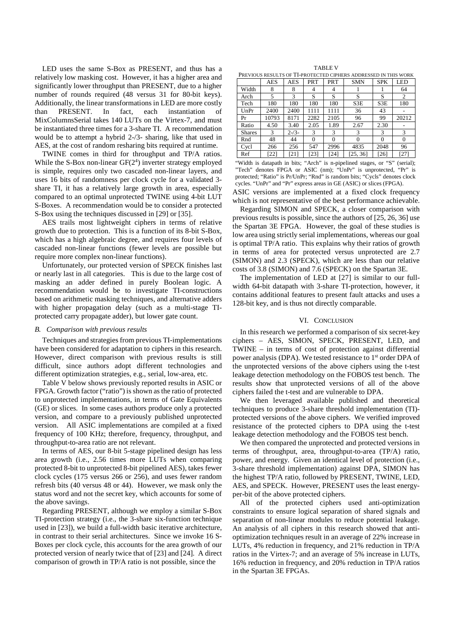LED uses the same S-Box as PRESENT, and thus has a relatively low masking cost. However, it has a higher area and significantly lower throughput than PRESENT, due to a higher number of rounds required (48 versus 31 for 80-bit keys). Additionally, the linear transformations in LED are more costly than PRESENT. In fact, each instantiation of MixColumnsSerial takes 140 LUTs on the Virtex-7, and must be instantiated three times for a 3-share TI. A recommendation would be to attempt a hybrid 2-/3- sharing, like that used in AES, at the cost of random resharing bits required at runtime.

TWINE comes in third for throughput and TP/A ratios. While the S-Box non-linear  $GF(2<sup>4</sup>)$  inverter strategy employed is simple, requires only two cascaded non-linear layers, and uses 16 bits of randomness per clock cycle for a validated 3 share TI, it has a relatively large growth in area, especially compared to an optimal unprotected TWINE using 4-bit LUT S-Boxes. A recommendation would be to consider a protected S-Box using the techniques discussed in [29] or [35].

AES trails most lightweight ciphers in terms of relative growth due to protection. This is a function of its 8-bit S-Box, which has a high algebraic degree, and requires four levels of cascaded non-linear functions (fewer levels are possible but require more complex non-linear functions).

Unfortunately, our protected version of SPECK finishes last or nearly last in all categories. This is due to the large cost of masking an adder defined in purely Boolean logic. A recommendation would be to investigate TI-constructions based on arithmetic masking techniques, and alternative adders with higher propagation delay (such as a multi-stage TIprotected carry propagate adder), but lower gate count.

# *B. Comparison with previous results*

Techniques and strategies from previous TI-implementations have been considered for adaptation to ciphers in this research. However, direct comparison with previous results is still difficult, since authors adopt different technologies and different optimization strategies, e.g., serial, low-area, etc.

Table V below shows previously reported results in ASIC or FPGA. Growth factor ("ratio") is shown as the ratio of protected to unprotected implementations, in terms of Gate Equivalents (GE) or slices. In some cases authors produce only a protected version, and compare to a previously published unprotected version. All ASIC implementations are compiled at a fixed frequency of 100 KHz; therefore, frequency, throughput, and throughput-to-area ratio are not relevant.

In terms of AES, our 8-bit 5-stage pipelined design has less area growth (i.e., 2.56 times more LUTs when comparing protected 8-bit to unprotected 8-bit pipelined AES), takes fewer clock cycles (175 versus 266 or 256), and uses fewer random refresh bits (40 versus 48 or 44). However, we mask only the status word and not the secret key, which accounts for some of the above savings.

Regarding PRESENT, although we employ a similar S-Box TI-protection strategy (i.e., the 3-share six-function technique used in [23]), we build a full-width basic iterative architecture, in contrast to their serial architectures. Since we invoke 16 S-Boxes per clock cycle, this accounts for the area growth of our protected version of nearly twice that of [23] and [24]. A direct comparison of growth in TP/A ratio is not possible, since the

| <b>TABLE V</b> |  |  |
|----------------|--|--|
| $-$            |  |  |

| PREVIOUS RESULTS OF TI-PROTECTED CIPHERS ADDRESSED IN THIS WORK |            |           |          |            |            |            |            |
|-----------------------------------------------------------------|------------|-----------|----------|------------|------------|------------|------------|
|                                                                 | <b>AES</b> | AES       | PRT      | <b>PRT</b> | <b>SMN</b> | <b>SPK</b> | <b>LED</b> |
| Width                                                           | 8          | 8         | 4        | 4          |            |            | 64         |
| Arch                                                            | 5          | 3         | S        | S          | S          | S          | 2          |
| Tech                                                            | 180        | 180       | 180      | 180        | S3E        | S3E        | 180        |
| UnPr                                                            | 2400       | 2400      | 1111     | 1111       | 36         | 43         |            |
| Pr                                                              | 10793      | 8171      | 2282     | 2105       | 96         | 99         | 20212      |
| Ratio                                                           | 4.50       | 3.40      | 2.05     | 1.89       | 2.67       | 2.30       |            |
| <b>Shares</b>                                                   | 3          | $2 - 3 -$ | 3        | 3          | 3          | 3          | 3          |
| Rnd                                                             | 48         | 44        | $\Omega$ | $\Omega$   | $\Omega$   | $\Omega$   | 0          |
| Cycl                                                            | 266        | 256       | 547      | 2996       | 4835       | 2048       | 96         |
| Ref                                                             | [22]       | [21]      | [23]     | [24]       | [25, 36]   | [26]       | [27]       |

"Width is datapath in bits; "Arch" is n-pipelined stages, or "S" (serial); "Tech" denotes FPGA or ASIC (nm); "UnPr" is unprotected, "Pr" is protected; "Ratio" is Pr/UnPr; "Rnd" is random bits; "Cycls" denotes clock cycles. "UnPr" and "Pr" express areas in GE (ASIC) or slices (FPGA).

ASIC versions are implemented at a fixed clock frequency which is not representative of the best performance achievable.

Regarding SIMON and SPECK, a closer comparison with previous results is possible, since the authors of [25, 26, 36] use the Spartan 3E FPGA. However, the goal of these studies is low area using strictly serial implementations, whereas our goal is optimal TP/A ratio. This explains why their ratios of growth in terms of area for protected versus unprotected are 2.7 (SIMON) and 2.3 (SPECK), which are less than our relative costs of 3.8 (SIMON) and 7.6 (SPECK) on the Spartan 3E.

The implementation of LED at [27] is similar to our fullwidth 64-bit datapath with 3-share TI-protection, however, it contains additional features to present fault attacks and uses a 128-bit key, and is thus not directly comparable.

## VI. CONCLUSION

In this research we performed a comparison of six secret-key ciphers – AES, SIMON, SPECK, PRESENT, LED, and TWINE – in terms of cost of protection against differential power analysis (DPA). We tested resistance to 1<sup>st</sup> order DPA of the unprotected versions of the above ciphers using the t-test leakage detection methodology on the FOBOS test bench. The results show that unprotected versions of all of the above ciphers failed the t-test and are vulnerable to DPA.

We then leveraged available published and theoretical techniques to produce 3-share threshold implementation (TI) protected versions of the above ciphers. We verified improved resistance of the protected ciphers to DPA using the t-test leakage detection methodology and the FOBOS test bench.

We then compared the unprotected and protected versions in terms of throughput, area, throughput-to-area (TP/A) ratio, power, and energy. Given an identical level of protection (i.e., 3-share threshold implementation) against DPA, SIMON has the highest TP/A ratio, followed by PRESENT, TWINE, LED, AES, and SPECK. However, PRESENT uses the least energyper-bit of the above protected ciphers.

All of the protected ciphers used anti-optimization constraints to ensure logical separation of shared signals and separation of non-linear modules to reduce potential leakage. An analysis of all ciphers in this research showed that antioptimization techniques result in an average of 22% increase in LUTs, 4% reduction in frequency, and 21% reduction in TP/A ratios in the Virtex-7; and an average of 5% increase in LUTs, 16% reduction in frequency, and 20% reduction in TP/A ratios in the Spartan 3E FPGAs.